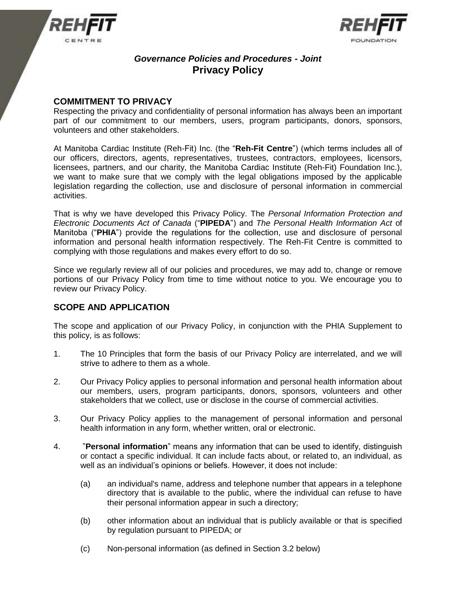



# *Governance Policies and Procedures - Joint* **Privacy Policy**

# **COMMITMENT TO PRIVACY**

Respecting the privacy and confidentiality of personal information has always been an important part of our commitment to our members, users, program participants, donors, sponsors, volunteers and other stakeholders.

At Manitoba Cardiac Institute (Reh-Fit) Inc. (the "**Reh-Fit Centre**") (which terms includes all of our officers, directors, agents, representatives, trustees, contractors, employees, licensors, licensees, partners, and our charity, the Manitoba Cardiac Institute (Reh-Fit) Foundation Inc.), we want to make sure that we comply with the legal obligations imposed by the applicable legislation regarding the collection, use and disclosure of personal information in commercial activities.

That is why we have developed this Privacy Policy. The *Personal Information Protection and Electronic Documents Act of Canada* ("**PIPEDA**") and *The Personal Health Information Act* of Manitoba ("**PHIA**") provide the regulations for the collection, use and disclosure of personal information and personal health information respectively. The Reh-Fit Centre is committed to complying with those regulations and makes every effort to do so.

Since we regularly review all of our policies and procedures, we may add to, change or remove portions of our Privacy Policy from time to time without notice to you. We encourage you to review our Privacy Policy.

## **SCOPE AND APPLICATION**

The scope and application of our Privacy Policy, in conjunction with the PHIA Supplement to this policy, is as follows:

- 1. The 10 Principles that form the basis of our Privacy Policy are interrelated, and we will strive to adhere to them as a whole.
- 2. Our Privacy Policy applies to personal information and personal health information about our members, users, program participants, donors, sponsors, volunteers and other stakeholders that we collect, use or disclose in the course of commercial activities.
- 3. Our Privacy Policy applies to the management of personal information and personal health information in any form, whether written, oral or electronic.
- 4. "**Personal information**" means any information that can be used to identify, distinguish or contact a specific individual. It can include facts about, or related to, an individual, as well as an individual's opinions or beliefs. However, it does not include:
	- (a) an individual's name, address and telephone number that appears in a telephone directory that is available to the public, where the individual can refuse to have their personal information appear in such a directory;
	- (b) other information about an individual that is publicly available or that is specified by regulation pursuant to PIPEDA; or
	- (c) Non-personal information (as defined in Section 3.2 below)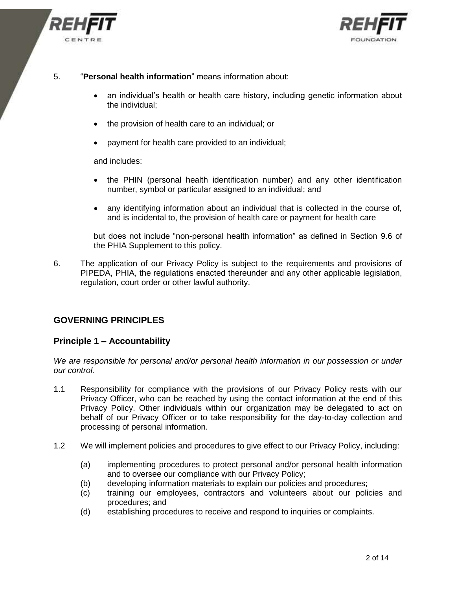



- 5. "**Personal health information**" means information about:
	- an individual's health or health care history, including genetic information about the individual;
	- the provision of health care to an individual: or
	- payment for health care provided to an individual;

and includes:

- the PHIN (personal health identification number) and any other identification number, symbol or particular assigned to an individual; and
- any identifying information about an individual that is collected in the course of, and is incidental to, the provision of health care or payment for health care

but does not include "non-personal health information" as defined in Section 9.6 of the PHIA Supplement to this policy.

6. The application of our Privacy Policy is subject to the requirements and provisions of PIPEDA, PHIA, the regulations enacted thereunder and any other applicable legislation, regulation, court order or other lawful authority.

#### **GOVERNING PRINCIPLES**

#### **Principle 1 – Accountability**

*We are responsible for personal and/or personal health information in our possession or under our control.*

- 1.1 Responsibility for compliance with the provisions of our Privacy Policy rests with our Privacy Officer, who can be reached by using the contact information at the end of this Privacy Policy. Other individuals within our organization may be delegated to act on behalf of our Privacy Officer or to take responsibility for the day-to-day collection and processing of personal information.
- 1.2 We will implement policies and procedures to give effect to our Privacy Policy, including:
	- (a) implementing procedures to protect personal and/or personal health information and to oversee our compliance with our Privacy Policy;
	- (b) developing information materials to explain our policies and procedures;
	- (c) training our employees, contractors and volunteers about our policies and procedures; and
	- (d) establishing procedures to receive and respond to inquiries or complaints.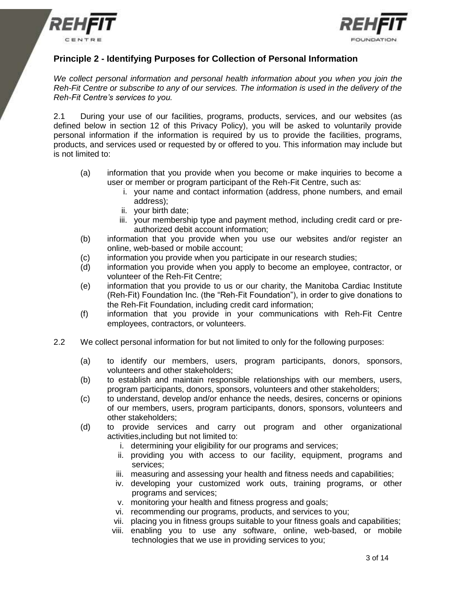



## **Principle 2 - Identifying Purposes for Collection of Personal Information**

*We collect personal information and personal health information about you when you join the Reh-Fit Centre or subscribe to any of our services. The information is used in the delivery of the Reh-Fit Centre's services to you.*

2.1 During your use of our facilities, programs, products, services, and our websites (as defined below in section 12 of this Privacy Policy), you will be asked to voluntarily provide personal information if the information is required by us to provide the facilities, programs, products, and services used or requested by or offered to you. This information may include but is not limited to:

- (a) information that you provide when you become or make inquiries to become a user or member or program participant of the Reh-Fit Centre, such as:
	- i. your name and contact information (address, phone numbers, and email address);
	- ii. your birth date;
	- iii. your membership type and payment method, including credit card or preauthorized debit account information;
- (b) information that you provide when you use our websites and/or register an online, web-based or mobile account;
- (c) information you provide when you participate in our research studies;
- (d) information you provide when you apply to become an employee, contractor, or volunteer of the Reh-Fit Centre;
- (e) information that you provide to us or our charity, the Manitoba Cardiac Institute (Reh-Fit) Foundation Inc. (the "Reh-Fit Foundation"), in order to give donations to the Reh-Fit Foundation, including credit card information;
- (f) information that you provide in your communications with Reh-Fit Centre employees, contractors, or volunteers.
- 2.2 We collect personal information for but not limited to only for the following purposes:
	- (a) to identify our members, users, program participants, donors, sponsors, volunteers and other stakeholders;
	- (b) to establish and maintain responsible relationships with our members, users, program participants, donors, sponsors, volunteers and other stakeholders;
	- (c) to understand, develop and/or enhance the needs, desires, concerns or opinions of our members, users, program participants, donors, sponsors, volunteers and other stakeholders;
	- (d) to provide services and carry out program and other organizational activities,including but not limited to:
		- i. determining your eligibility for our programs and services;
		- ii. providing you with access to our facility, equipment, programs and services;
		- iii. measuring and assessing your health and fitness needs and capabilities;
		- iv. developing your customized work outs, training programs, or other programs and services;
		- v. monitoring your health and fitness progress and goals;
		- vi. recommending our programs, products, and services to you;
		- vii. placing you in fitness groups suitable to your fitness goals and capabilities;
		- viii. enabling you to use any software, online, web-based, or mobile technologies that we use in providing services to you;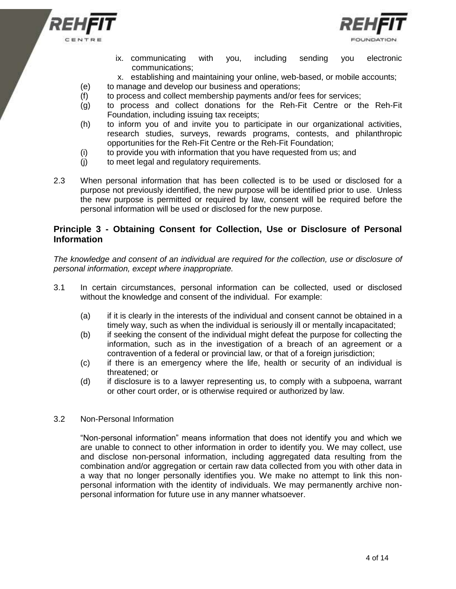



- ix. communicating with you, including sending you electronic communications;
- x. establishing and maintaining your online, web-based, or mobile accounts;
- (e) to manage and develop our business and operations;
- (f) to process and collect membership payments and/or fees for services;
- (g) to process and collect donations for the Reh-Fit Centre or the Reh-Fit Foundation, including issuing tax receipts;
- (h) to inform you of and invite you to participate in our organizational activities, research studies, surveys, rewards programs, contests, and philanthropic opportunities for the Reh-Fit Centre or the Reh-Fit Foundation;
- (i) to provide you with information that you have requested from us; and
- (j) to meet legal and regulatory requirements.
- 2.3 When personal information that has been collected is to be used or disclosed for a purpose not previously identified, the new purpose will be identified prior to use. Unless the new purpose is permitted or required by law, consent will be required before the personal information will be used or disclosed for the new purpose.

#### **Principle 3 - Obtaining Consent for Collection, Use or Disclosure of Personal Information**

*The knowledge and consent of an individual are required for the collection, use or disclosure of personal information, except where inappropriate.*

- 3.1 In certain circumstances, personal information can be collected, used or disclosed without the knowledge and consent of the individual. For example:
	- (a) if it is clearly in the interests of the individual and consent cannot be obtained in a timely way, such as when the individual is seriously ill or mentally incapacitated;
	- (b) if seeking the consent of the individual might defeat the purpose for collecting the information, such as in the investigation of a breach of an agreement or a contravention of a federal or provincial law, or that of a foreign jurisdiction;
	- (c) if there is an emergency where the life, health or security of an individual is threatened; or
	- (d) if disclosure is to a lawyer representing us, to comply with a subpoena, warrant or other court order, or is otherwise required or authorized by law.

#### 3.2 Non-Personal Information

"Non-personal information" means information that does not identify you and which we are unable to connect to other information in order to identify you. We may collect, use and disclose non-personal information, including aggregated data resulting from the combination and/or aggregation or certain raw data collected from you with other data in a way that no longer personally identifies you. We make no attempt to link this nonpersonal information with the identity of individuals. We may permanently archive nonpersonal information for future use in any manner whatsoever.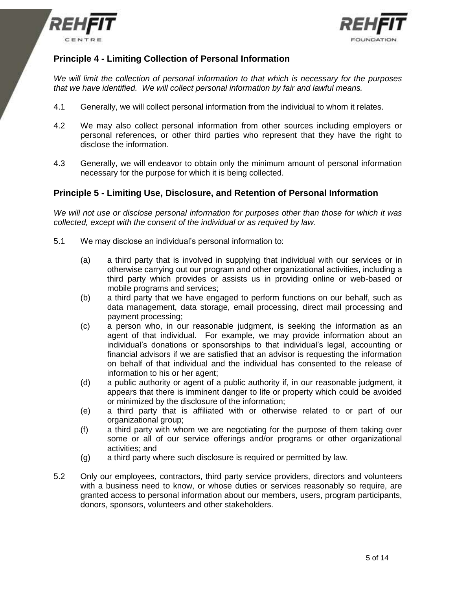



# **Principle 4 - Limiting Collection of Personal Information**

*We will limit the collection of personal information to that which is necessary for the purposes that we have identified. We will collect personal information by fair and lawful means.*

- 4.1 Generally, we will collect personal information from the individual to whom it relates.
- 4.2 We may also collect personal information from other sources including employers or personal references, or other third parties who represent that they have the right to disclose the information.
- 4.3 Generally, we will endeavor to obtain only the minimum amount of personal information necessary for the purpose for which it is being collected.

#### **Principle 5 - Limiting Use, Disclosure, and Retention of Personal Information**

*We will not use or disclose personal information for purposes other than those for which it was collected, except with the consent of the individual or as required by law.* 

- 5.1 We may disclose an individual's personal information to:
	- (a) a third party that is involved in supplying that individual with our services or in otherwise carrying out our program and other organizational activities, including a third party which provides or assists us in providing online or web-based or mobile programs and services;
	- (b) a third party that we have engaged to perform functions on our behalf, such as data management, data storage, email processing, direct mail processing and payment processing;
	- (c) a person who, in our reasonable judgment, is seeking the information as an agent of that individual. For example, we may provide information about an individual's donations or sponsorships to that individual's legal, accounting or financial advisors if we are satisfied that an advisor is requesting the information on behalf of that individual and the individual has consented to the release of information to his or her agent;
	- (d) a public authority or agent of a public authority if, in our reasonable judgment, it appears that there is imminent danger to life or property which could be avoided or minimized by the disclosure of the information;
	- (e) a third party that is affiliated with or otherwise related to or part of our organizational group;
	- (f) a third party with whom we are negotiating for the purpose of them taking over some or all of our service offerings and/or programs or other organizational activities; and
	- (g) a third party where such disclosure is required or permitted by law.
- 5.2 Only our employees, contractors, third party service providers, directors and volunteers with a business need to know, or whose duties or services reasonably so require, are granted access to personal information about our members, users, program participants, donors, sponsors, volunteers and other stakeholders.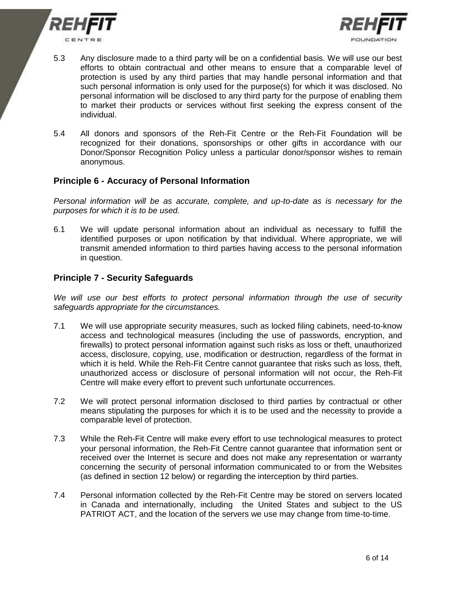



- 5.3 Any disclosure made to a third party will be on a confidential basis. We will use our best efforts to obtain contractual and other means to ensure that a comparable level of protection is used by any third parties that may handle personal information and that such personal information is only used for the purpose(s) for which it was disclosed. No personal information will be disclosed to any third party for the purpose of enabling them to market their products or services without first seeking the express consent of the individual.
- 5.4 All donors and sponsors of the Reh-Fit Centre or the Reh-Fit Foundation will be recognized for their donations, sponsorships or other gifts in accordance with our Donor/Sponsor Recognition Policy unless a particular donor/sponsor wishes to remain anonymous.

#### **Principle 6 - Accuracy of Personal Information**

*Personal information will be as accurate, complete, and up-to-date as is necessary for the purposes for which it is to be used.*

6.1 We will update personal information about an individual as necessary to fulfill the identified purposes or upon notification by that individual. Where appropriate, we will transmit amended information to third parties having access to the personal information in question.

## **Principle 7 - Security Safeguards**

*We will use our best efforts to protect personal information through the use of security safeguards appropriate for the circumstances.*

- 7.1 We will use appropriate security measures, such as locked filing cabinets, need-to-know access and technological measures (including the use of passwords, encryption, and firewalls) to protect personal information against such risks as loss or theft, unauthorized access, disclosure, copying, use, modification or destruction, regardless of the format in which it is held. While the Reh-Fit Centre cannot guarantee that risks such as loss, theft, unauthorized access or disclosure of personal information will not occur, the Reh-Fit Centre will make every effort to prevent such unfortunate occurrences.
- 7.2 We will protect personal information disclosed to third parties by contractual or other means stipulating the purposes for which it is to be used and the necessity to provide a comparable level of protection.
- 7.3 While the Reh-Fit Centre will make every effort to use technological measures to protect your personal information, the Reh-Fit Centre cannot guarantee that information sent or received over the Internet is secure and does not make any representation or warranty concerning the security of personal information communicated to or from the Websites (as defined in section 12 below) or regarding the interception by third parties.
- 7.4 Personal information collected by the Reh-Fit Centre may be stored on servers located in Canada and internationally, including the United States and subject to the US PATRIOT ACT, and the location of the servers we use may change from time-to-time.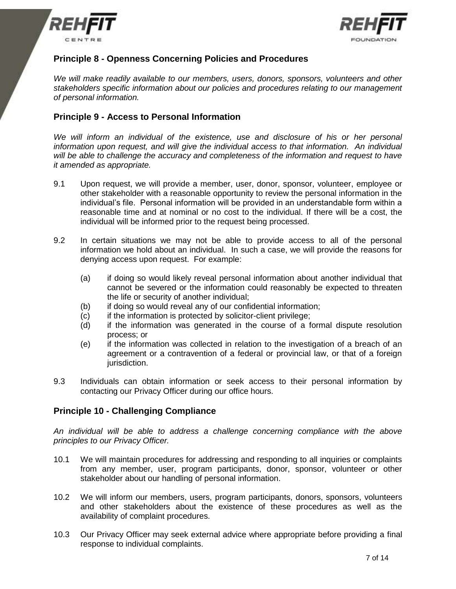



# **Principle 8 - Openness Concerning Policies and Procedures**

*We will make readily available to our members, users, donors, sponsors, volunteers and other stakeholders specific information about our policies and procedures relating to our management of personal information.*

## **Principle 9 - Access to Personal Information**

*We will inform an individual of the existence, use and disclosure of his or her personal information upon request, and will give the individual access to that information. An individual will be able to challenge the accuracy and completeness of the information and request to have it amended as appropriate.*

- 9.1 Upon request, we will provide a member, user, donor, sponsor, volunteer, employee or other stakeholder with a reasonable opportunity to review the personal information in the individual's file. Personal information will be provided in an understandable form within a reasonable time and at nominal or no cost to the individual. If there will be a cost, the individual will be informed prior to the request being processed.
- 9.2 In certain situations we may not be able to provide access to all of the personal information we hold about an individual. In such a case, we will provide the reasons for denying access upon request. For example:
	- (a) if doing so would likely reveal personal information about another individual that cannot be severed or the information could reasonably be expected to threaten the life or security of another individual;
	- (b) if doing so would reveal any of our confidential information;
	- (c) if the information is protected by solicitor-client privilege;
	- (d) if the information was generated in the course of a formal dispute resolution process; or
	- (e) if the information was collected in relation to the investigation of a breach of an agreement or a contravention of a federal or provincial law, or that of a foreign jurisdiction.
- 9.3 Individuals can obtain information or seek access to their personal information by contacting our Privacy Officer during our office hours.

## **Principle 10 - Challenging Compliance**

*An individual will be able to address a challenge concerning compliance with the above principles to our Privacy Officer.*

- 10.1 We will maintain procedures for addressing and responding to all inquiries or complaints from any member, user, program participants, donor, sponsor, volunteer or other stakeholder about our handling of personal information.
- 10.2 We will inform our members, users, program participants, donors, sponsors, volunteers and other stakeholders about the existence of these procedures as well as the availability of complaint procedures.
- 10.3 Our Privacy Officer may seek external advice where appropriate before providing a final response to individual complaints.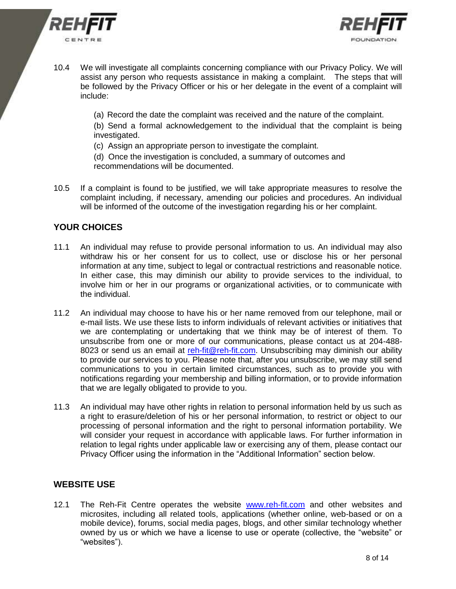



- 10.4 We will investigate all complaints concerning compliance with our Privacy Policy. We will assist any person who requests assistance in making a complaint. The steps that will be followed by the Privacy Officer or his or her delegate in the event of a complaint will include:
	- (a) Record the date the complaint was received and the nature of the complaint.
	- (b) Send a formal acknowledgement to the individual that the complaint is being investigated.
	- (c) Assign an appropriate person to investigate the complaint.
	- (d) Once the investigation is concluded, a summary of outcomes and recommendations will be documented.
- 10.5 If a complaint is found to be justified, we will take appropriate measures to resolve the complaint including, if necessary, amending our policies and procedures. An individual will be informed of the outcome of the investigation regarding his or her complaint.

# **YOUR CHOICES**

- 11.1 An individual may refuse to provide personal information to us. An individual may also withdraw his or her consent for us to collect, use or disclose his or her personal information at any time, subject to legal or contractual restrictions and reasonable notice. In either case, this may diminish our ability to provide services to the individual, to involve him or her in our programs or organizational activities, or to communicate with the individual.
- 11.2 An individual may choose to have his or her name removed from our telephone, mail or e-mail lists. We use these lists to inform individuals of relevant activities or initiatives that we are contemplating or undertaking that we think may be of interest of them. To unsubscribe from one or more of our communications, please contact us at 204-488 8023 or send us an email at [reh-fit@reh-fit.com.](mailto:reh-fit@reh-fit.com) Unsubscribing may diminish our ability to provide our services to you. Please note that, after you unsubscribe, we may still send communications to you in certain limited circumstances, such as to provide you with notifications regarding your membership and billing information, or to provide information that we are legally obligated to provide to you.
- 11.3 An individual may have other rights in relation to personal information held by us such as a right to erasure/deletion of his or her personal information, to restrict or object to our processing of personal information and the right to personal information portability. We will consider your request in accordance with applicable laws. For further information in relation to legal rights under applicable law or exercising any of them, please contact our Privacy Officer using the information in the "Additional Information" section below.

## **WEBSITE USE**

12.1 The Reh-Fit Centre operates the website [www.reh-fit.com](http://www.reh-fit.com/) and other websites and microsites, including all related tools, applications (whether online, web-based or on a mobile device), forums, social media pages, blogs, and other similar technology whether owned by us or which we have a license to use or operate (collective, the "website" or "websites").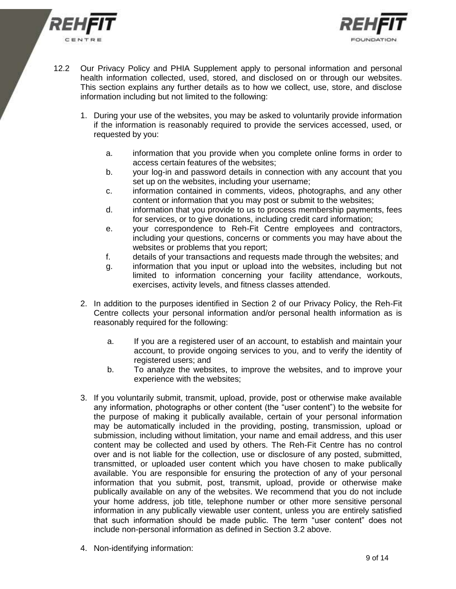



- 12.2 Our Privacy Policy and PHIA Supplement apply to personal information and personal health information collected, used, stored, and disclosed on or through our websites. This section explains any further details as to how we collect, use, store, and disclose information including but not limited to the following:
	- 1. During your use of the websites, you may be asked to voluntarily provide information if the information is reasonably required to provide the services accessed, used, or requested by you:
		- a. information that you provide when you complete online forms in order to access certain features of the websites;
		- b. your log-in and password details in connection with any account that you set up on the websites, including your username;
		- c. information contained in comments, videos, photographs, and any other content or information that you may post or submit to the websites;
		- d. information that you provide to us to process membership payments, fees for services, or to give donations, including credit card information;
		- e. your correspondence to Reh-Fit Centre employees and contractors, including your questions, concerns or comments you may have about the websites or problems that you report;
		- f. details of your transactions and requests made through the websites; and
		- g. information that you input or upload into the websites, including but not limited to information concerning your facility attendance, workouts, exercises, activity levels, and fitness classes attended.
	- 2. In addition to the purposes identified in Section 2 of our Privacy Policy, the Reh-Fit Centre collects your personal information and/or personal health information as is reasonably required for the following:
		- a. If you are a registered user of an account, to establish and maintain your account, to provide ongoing services to you, and to verify the identity of registered users; and
		- b. To analyze the websites, to improve the websites, and to improve your experience with the websites;
	- 3. If you voluntarily submit, transmit, upload, provide, post or otherwise make available any information, photographs or other content (the "user content") to the website for the purpose of making it publically available, certain of your personal information may be automatically included in the providing, posting, transmission, upload or submission, including without limitation, your name and email address, and this user content may be collected and used by others. The Reh-Fit Centre has no control over and is not liable for the collection, use or disclosure of any posted, submitted, transmitted, or uploaded user content which you have chosen to make publically available. You are responsible for ensuring the protection of any of your personal information that you submit, post, transmit, upload, provide or otherwise make publically available on any of the websites. We recommend that you do not include your home address, job title, telephone number or other more sensitive personal information in any publically viewable user content, unless you are entirely satisfied that such information should be made public. The term "user content" does not include non-personal information as defined in Section 3.2 above.
	- 4. Non-identifying information: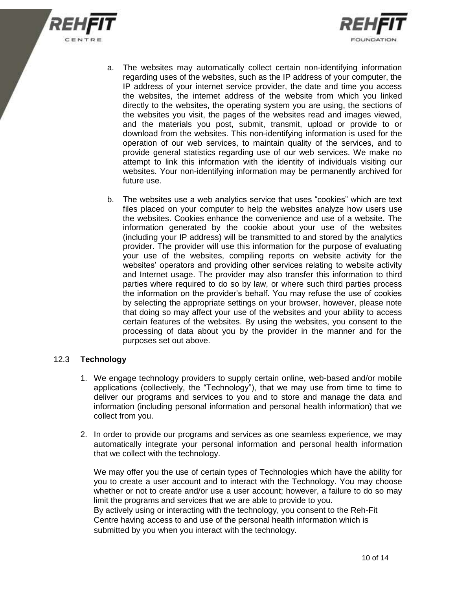



- a. The websites may automatically collect certain non-identifying information regarding uses of the websites, such as the IP address of your computer, the IP address of your internet service provider, the date and time you access the websites, the internet address of the website from which you linked directly to the websites, the operating system you are using, the sections of the websites you visit, the pages of the websites read and images viewed, and the materials you post, submit, transmit, upload or provide to or download from the websites. This non-identifying information is used for the operation of our web services, to maintain quality of the services, and to provide general statistics regarding use of our web services. We make no attempt to link this information with the identity of individuals visiting our websites. Your non-identifying information may be permanently archived for future use.
- b. The websites use a web analytics service that uses "cookies" which are text files placed on your computer to help the websites analyze how users use the websites. Cookies enhance the convenience and use of a website. The information generated by the cookie about your use of the websites (including your IP address) will be transmitted to and stored by the analytics provider. The provider will use this information for the purpose of evaluating your use of the websites, compiling reports on website activity for the websites' operators and providing other services relating to website activity and Internet usage. The provider may also transfer this information to third parties where required to do so by law, or where such third parties process the information on the provider's behalf. You may refuse the use of cookies by selecting the appropriate settings on your browser, however, please note that doing so may affect your use of the websites and your ability to access certain features of the websites. By using the websites, you consent to the processing of data about you by the provider in the manner and for the purposes set out above.

#### 12.3 **Technology**

- 1. We engage technology providers to supply certain online, web-based and/or mobile applications (collectively, the "Technology"), that we may use from time to time to deliver our programs and services to you and to store and manage the data and information (including personal information and personal health information) that we collect from you.
- 2. In order to provide our programs and services as one seamless experience, we may automatically integrate your personal information and personal health information that we collect with the technology.

We may offer you the use of certain types of Technologies which have the ability for you to create a user account and to interact with the Technology. You may choose whether or not to create and/or use a user account; however, a failure to do so may limit the programs and services that we are able to provide to you. By actively using or interacting with the technology, you consent to the Reh-Fit Centre having access to and use of the personal health information which is submitted by you when you interact with the technology.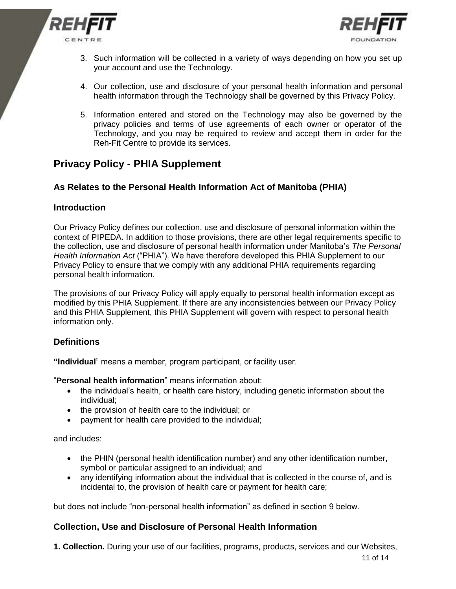



- 3. Such information will be collected in a variety of ways depending on how you set up your account and use the Technology.
- 4. Our collection, use and disclosure of your personal health information and personal health information through the Technology shall be governed by this Privacy Policy.
- 5. Information entered and stored on the Technology may also be governed by the privacy policies and terms of use agreements of each owner or operator of the Technology, and you may be required to review and accept them in order for the Reh-Fit Centre to provide its services.

# **Privacy Policy - PHIA Supplement**

# **As Relates to the Personal Health Information Act of Manitoba (PHIA)**

## **Introduction**

Our Privacy Policy defines our collection, use and disclosure of personal information within the context of PIPEDA. In addition to those provisions, there are other legal requirements specific to the collection, use and disclosure of personal health information under Manitoba's *The Personal Health Information Act* ("PHIA"). We have therefore developed this PHIA Supplement to our Privacy Policy to ensure that we comply with any additional PHIA requirements regarding personal health information.

The provisions of our Privacy Policy will apply equally to personal health information except as modified by this PHIA Supplement. If there are any inconsistencies between our Privacy Policy and this PHIA Supplement, this PHIA Supplement will govern with respect to personal health information only.

## **Definitions**

**"Individual**" means a member, program participant, or facility user.

"**Personal health information**" means information about:

- the individual's health, or health care history, including genetic information about the individual;
- the provision of health care to the individual: or
- payment for health care provided to the individual;

and includes:

- the PHIN (personal health identification number) and any other identification number, symbol or particular assigned to an individual; and
- any identifying information about the individual that is collected in the course of, and is incidental to, the provision of health care or payment for health care;

but does not include "non-personal health information" as defined in section 9 below.

## **Collection, Use and Disclosure of Personal Health Information**

**1. Collection.** During your use of our facilities, programs, products, services and our Websites,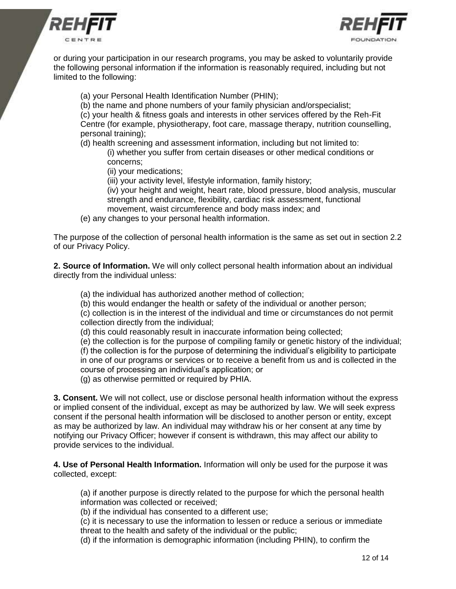



or during your participation in our research programs, you may be asked to voluntarily provide the following personal information if the information is reasonably required, including but not limited to the following:

(a) your Personal Health Identification Number (PHIN);

(b) the name and phone numbers of your family physician and/orspecialist;

(c) your health & fitness goals and interests in other services offered by the Reh-Fit Centre (for example, physiotherapy, foot care, massage therapy, nutrition counselling, personal training);

(d) health screening and assessment information, including but not limited to: (i) whether you suffer from certain diseases or other medical conditions or concerns;

(ii) your medications;

(iii) your activity level, lifestyle information, family history;

(iv) your height and weight, heart rate, blood pressure, blood analysis, muscular strength and endurance, flexibility, cardiac risk assessment, functional movement, waist circumference and body mass index; and

(e) any changes to your personal health information.

The purpose of the collection of personal health information is the same as set out in section 2.2 of our Privacy Policy.

**2. Source of Information.** We will only collect personal health information about an individual directly from the individual unless:

(a) the individual has authorized another method of collection;

(b) this would endanger the health or safety of the individual or another person;

(c) collection is in the interest of the individual and time or circumstances do not permit collection directly from the individual;

(d) this could reasonably result in inaccurate information being collected;

(e) the collection is for the purpose of compiling family or genetic history of the individual; (f) the collection is for the purpose of determining the individual's eligibility to participate in one of our programs or services or to receive a benefit from us and is collected in the course of processing an individual's application; or

(g) as otherwise permitted or required by PHIA.

**3. Consent.** We will not collect, use or disclose personal health information without the express or implied consent of the individual, except as may be authorized by law. We will seek express consent if the personal health information will be disclosed to another person or entity, except as may be authorized by law. An individual may withdraw his or her consent at any time by notifying our Privacy Officer; however if consent is withdrawn, this may affect our ability to provide services to the individual.

**4. Use of Personal Health Information.** Information will only be used for the purpose it was collected, except:

(a) if another purpose is directly related to the purpose for which the personal health information was collected or received;

(b) if the individual has consented to a different use;

(c) it is necessary to use the information to lessen or reduce a serious or immediate threat to the health and safety of the individual or the public;

(d) if the information is demographic information (including PHIN), to confirm the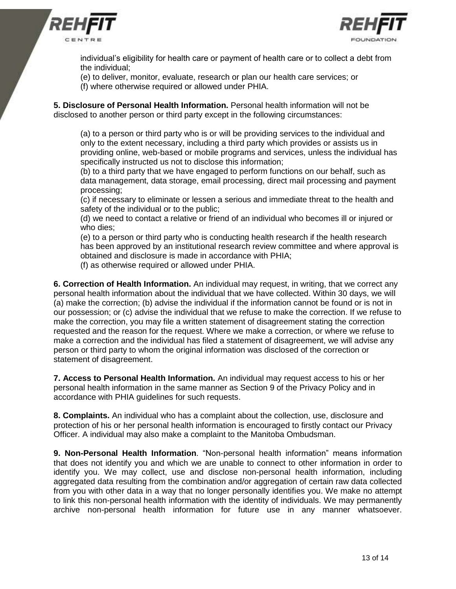



individual's eligibility for health care or payment of health care or to collect a debt from the individual;

(e) to deliver, monitor, evaluate, research or plan our health care services; or

(f) where otherwise required or allowed under PHIA.

**5. Disclosure of Personal Health Information.** Personal health information will not be disclosed to another person or third party except in the following circumstances:

(a) to a person or third party who is or will be providing services to the individual and only to the extent necessary, including a third party which provides or assists us in providing online, web-based or mobile programs and services, unless the individual has specifically instructed us not to disclose this information;

(b) to a third party that we have engaged to perform functions on our behalf, such as data management, data storage, email processing, direct mail processing and payment processing;

(c) if necessary to eliminate or lessen a serious and immediate threat to the health and safety of the individual or to the public;

(d) we need to contact a relative or friend of an individual who becomes ill or injured or who dies;

(e) to a person or third party who is conducting health research if the health research has been approved by an institutional research review committee and where approval is obtained and disclosure is made in accordance with PHIA;

(f) as otherwise required or allowed under PHIA.

**6. Correction of Health Information.** An individual may request, in writing, that we correct any personal health information about the individual that we have collected. Within 30 days, we will (a) make the correction; (b) advise the individual if the information cannot be found or is not in our possession; or (c) advise the individual that we refuse to make the correction. If we refuse to make the correction, you may file a written statement of disagreement stating the correction requested and the reason for the request. Where we make a correction, or where we refuse to make a correction and the individual has filed a statement of disagreement, we will advise any person or third party to whom the original information was disclosed of the correction or statement of disagreement.

**7. Access to Personal Health Information.** An individual may request access to his or her personal health information in the same manner as Section 9 of the Privacy Policy and in accordance with PHIA guidelines for such requests.

**8. Complaints.** An individual who has a complaint about the collection, use, disclosure and protection of his or her personal health information is encouraged to firstly contact our Privacy Officer. A individual may also make a complaint to the Manitoba Ombudsman.

**9. Non-Personal Health Information**. "Non-personal health information" means information that does not identify you and which we are unable to connect to other information in order to identify you. We may collect, use and disclose non-personal health information, including aggregated data resulting from the combination and/or aggregation of certain raw data collected from you with other data in a way that no longer personally identifies you. We make no attempt to link this non-personal health information with the identity of individuals. We may permanently archive non-personal health information for future use in any manner whatsoever.